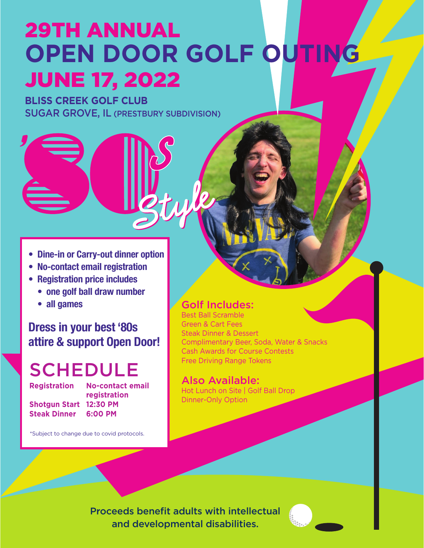# 29TH ANNUAL **OPEN DOOR GOLF OUTIN** JUNE 17, 2022

# **BLISS CREEK GOLF CLUB** SUGAR GROVE, IL (PRESTBURY SUBDIVISION)

- **• Dine-in or Carry-out dinner option**
- **• No-contact email registration**
- **• Registration price includes**
	- **• one golf ball draw number**
	- **• all games**

# **Dress in your best '80s attire & support Open Door!**

# **SCHEDULE**

**Registration No-contact email registration Shotgun Start 12:30 PM Steak Dinner 6:00 PM** 

\*Subject to change due to covid protocols.

## Golf Includes:

Best Ball Scramble Green & Cart Fees Steak Dinner & Dessert Complimentary Beer, Soda, Water & Snacks Cash Awards for Course Contests Free Driving Range Tokens

#### Also Available:

Hot Lunch on Site | Golf Ball Drop Dinner-Only Option

Proceeds benefit adults with intellectual and developmental disabilities.